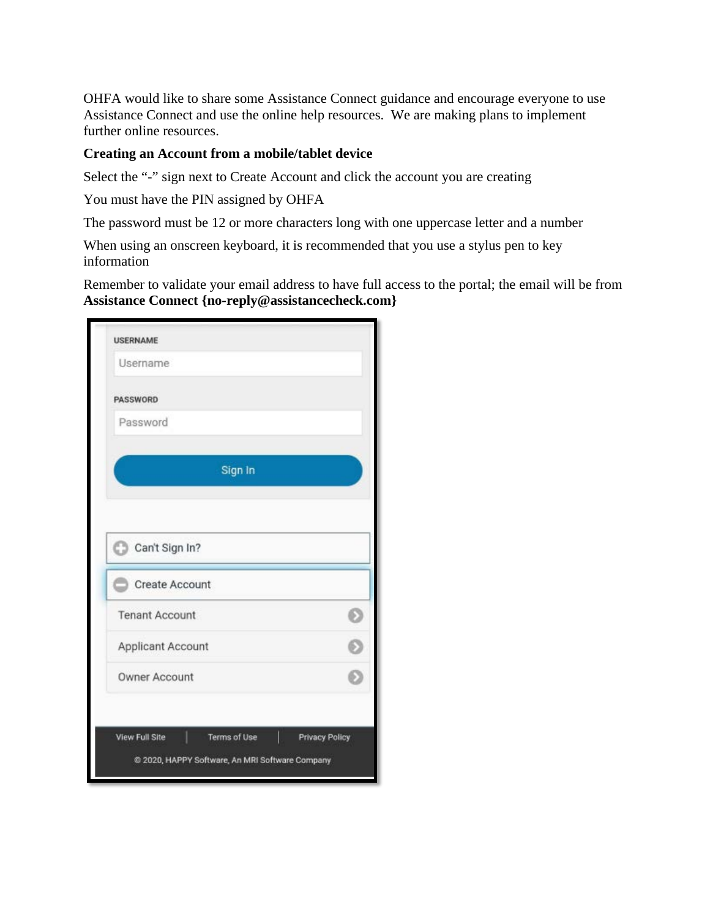OHFA would like to share some Assistance Connect guidance and encourage everyone to use Assistance Connect and use the online help resources. We are making plans to implement further online resources.

## **Creating an Account from a mobile/tablet device**

Select the "-" sign next to Create Account and click the account you are creating

You must have the PIN assigned by OHFA

The password must be 12 or more characters long with one uppercase letter and a number

When using an onscreen keyboard, it is recommended that you use a stylus pen to key information

Remember to validate your email address to have full access to the portal; the email will be from **Assistance Connect {no-reply@assistancecheck.com}**

| Username              |  |
|-----------------------|--|
| <b>PASSWORD</b>       |  |
| Password              |  |
| Sign In               |  |
| C Can't Sign In?      |  |
| Create Account        |  |
| <b>Tenant Account</b> |  |
|                       |  |
| Applicant Account     |  |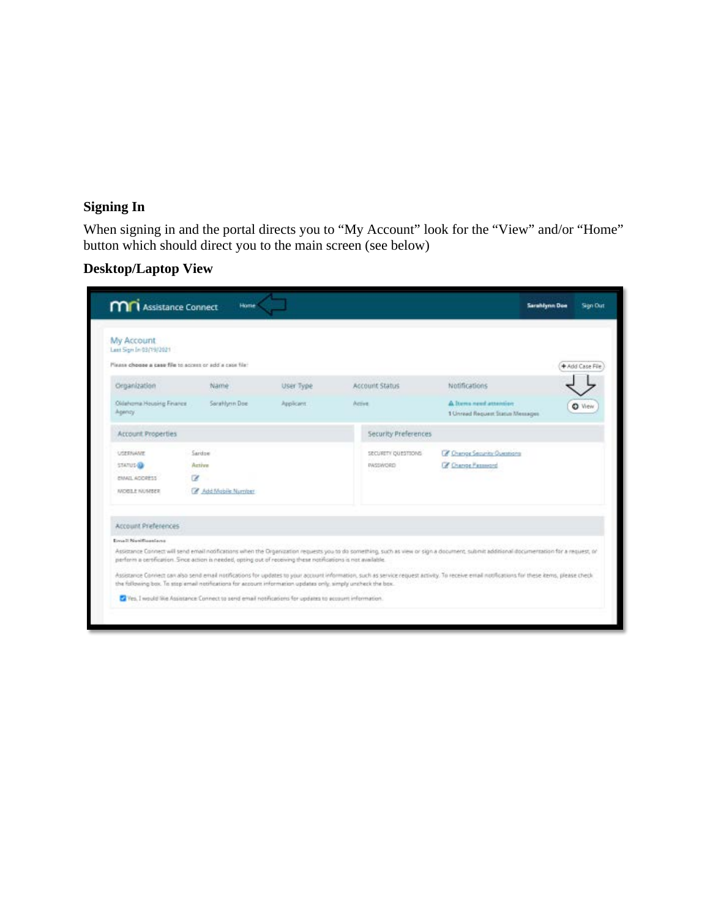# **Signing In**

When signing in and the portal directs you to "My Account" look for the "View" and/or "Home" button which should direct you to the main screen (see below)

# **Desktop/Laptop View**

| My Account<br>Last Sign In 03(19/2021                   |                                                                                                                |            |                      |                                                                                                                                                                                              |                 |
|---------------------------------------------------------|----------------------------------------------------------------------------------------------------------------|------------|----------------------|----------------------------------------------------------------------------------------------------------------------------------------------------------------------------------------------|-----------------|
| Please choose a case file to access or add a case file: |                                                                                                                |            |                      |                                                                                                                                                                                              | + Add Case File |
| Organization                                            | Name                                                                                                           | User Type  | Account Status       | Notifications                                                                                                                                                                                |                 |
| Oklahoma Housing Finance<br>Agency.                     | Sarahhmn Doe                                                                                                   | Applicant. | <b>Acces</b>         | A Torres need attention<br>1 Universit Request Status Messages                                                                                                                               | O View          |
| Account Properties                                      |                                                                                                                |            | Security Preferences |                                                                                                                                                                                              |                 |
| USERIVANE                                               | Sardoe                                                                                                         |            | SECURETY QUESTIONS   | C Change Security Overstong                                                                                                                                                                  |                 |
| STATUS-                                                 | Active                                                                                                         |            | <b>INSSWORD</b>      | C Change Password                                                                                                                                                                            |                 |
| EMAIL ADDRESS                                           | œ                                                                                                              |            |                      |                                                                                                                                                                                              |                 |
| WORLE NUMBER                                            | Add Mabile Number                                                                                              |            |                      |                                                                                                                                                                                              |                 |
| Account Preferences                                     |                                                                                                                |            |                      |                                                                                                                                                                                              |                 |
| <b>Event Noviflandana</b>                               |                                                                                                                |            |                      |                                                                                                                                                                                              |                 |
|                                                         | perform a certification. Since action is needed, opting out of receiving these notifications is not available. |            |                      | Astistance Connect will send email notifications when the Organization requests you to do something, such as view or sign a document, submit additional documentation for a request, or      |                 |
|                                                         | the following box. To stop email notifications for account information updates only, simply uncheck the box.   |            |                      | Assistance Connect can also send enail notifications for updates to your account information, such as service request activity. To receive email notifications for these kerro, please check |                 |
|                                                         | Wes, I would like Assistance Connect to send email notifications for updates to account information.           |            |                      |                                                                                                                                                                                              |                 |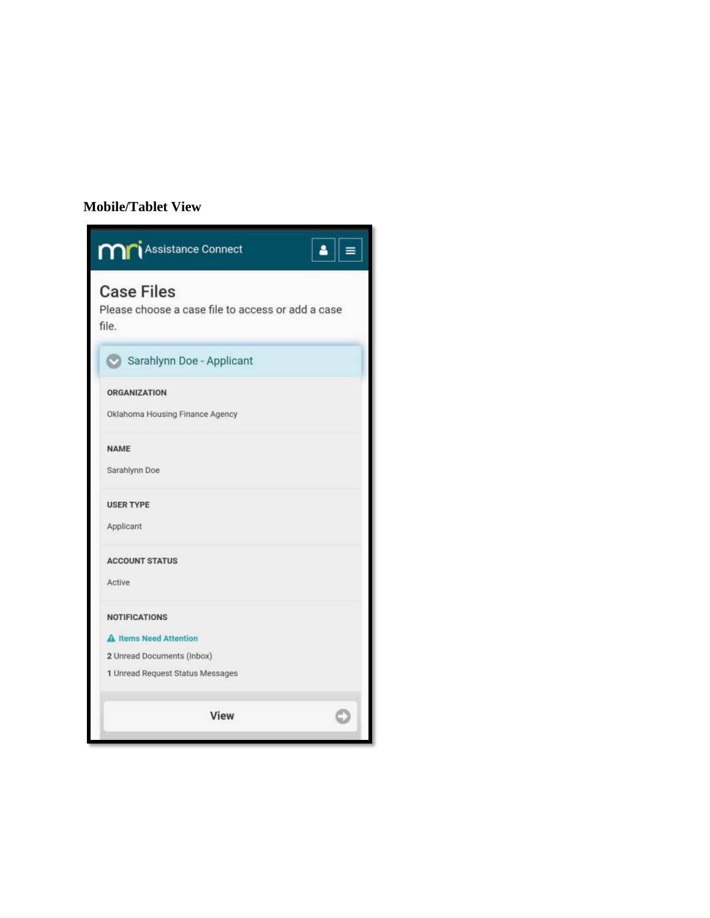## **Mobile/Tablet View**

| <b>Mr</b> i Assistance Connect                                                  |
|---------------------------------------------------------------------------------|
| <b>Case Files</b><br>Please choose a case file to access or add a case<br>file. |
| Sarahlynn Doe - Applicant                                                       |
| <b>ORGANIZATION</b><br>Oklahoma Housing Finance Agency                          |
| <b>NAME</b><br>Sarahlynn Doe                                                    |
| <b>USER TYPE</b><br>Applicant                                                   |
| <b>ACCOUNT STATUS</b><br><b>Active</b>                                          |
| <b>NOTIFICATIONS</b>                                                            |
| A Items Need Attention                                                          |
| 2 Unread Documents (Inbox)<br>1 Unread Request Status Messages                  |
| View                                                                            |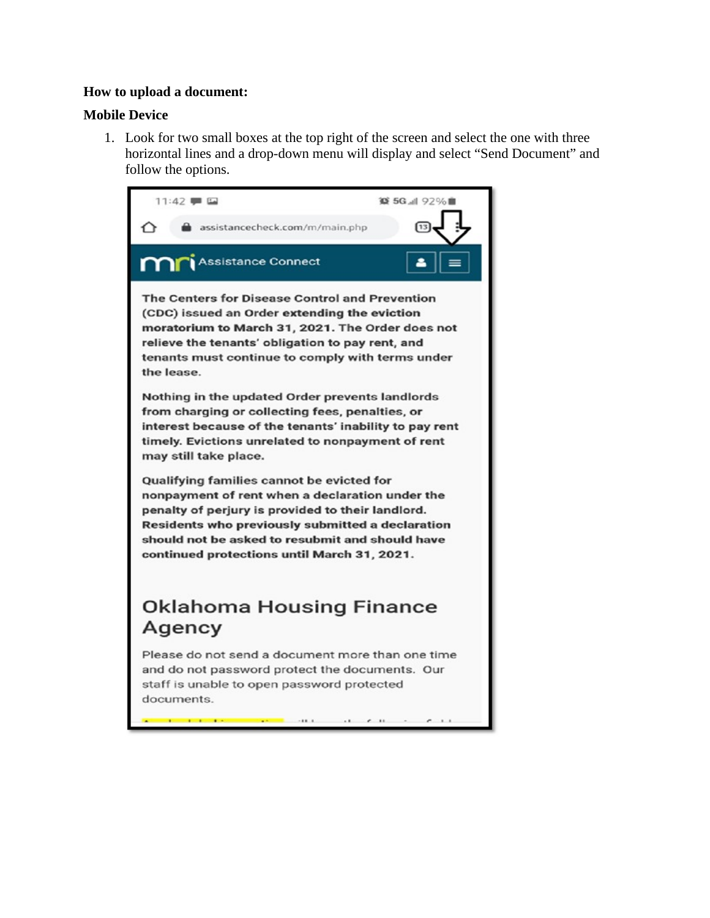### **How to upload a document:**

## **Mobile Device**

1. Look for two small boxes at the top right of the screen and select the one with three horizontal lines and a drop-down menu will display and select "Send Document" and follow the options.

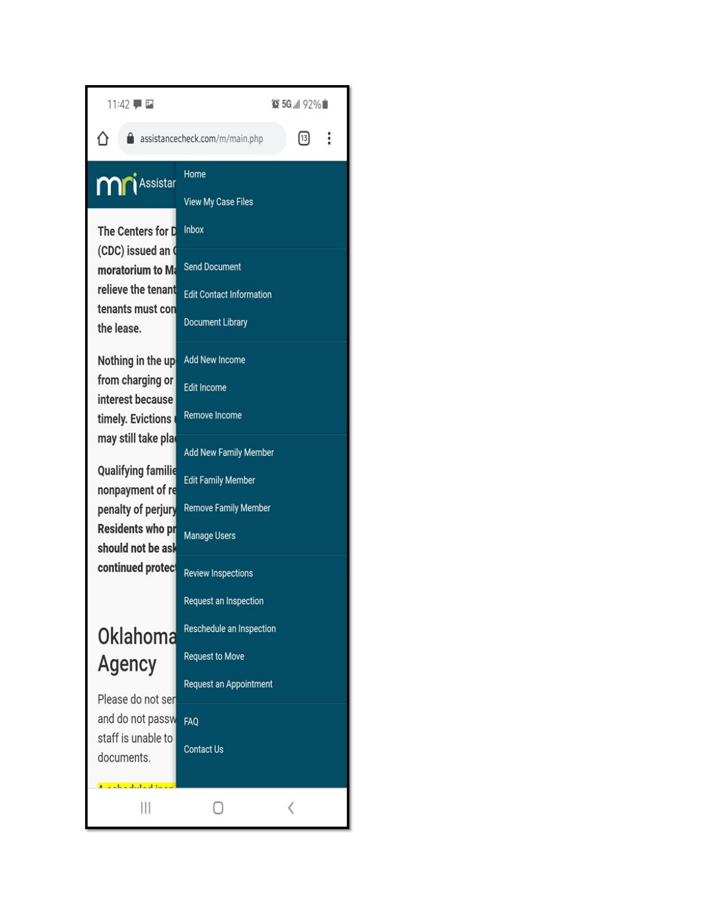| 11:42 厚田                                                                                                                                                                                                                                                                                                                                            |                                                                                                                 | <b>◎ 5G 1 92%■</b>                                                   |          |  |
|-----------------------------------------------------------------------------------------------------------------------------------------------------------------------------------------------------------------------------------------------------------------------------------------------------------------------------------------------------|-----------------------------------------------------------------------------------------------------------------|----------------------------------------------------------------------|----------|--|
|                                                                                                                                                                                                                                                                                                                                                     | assistancecheck.com/m/main.php                                                                                  | $\left[ \begin{smallmatrix} 1 & 3 \ 1 & 0 \end{smallmatrix} \right]$ | $\vdots$ |  |
| <b>Mr</b> i Assistar                                                                                                                                                                                                                                                                                                                                | Home<br><b>View My Case Files</b>                                                                               |                                                                      |          |  |
| The Centers for D<br>(CDC) issued an (<br>moratorium to Ma<br>relieve the tenant<br>tenants must con<br>the lease.                                                                                                                                                                                                                                  | Inbox<br><b>Send Document</b>                                                                                   |                                                                      |          |  |
|                                                                                                                                                                                                                                                                                                                                                     | <b>Edit Contact Information</b><br><b>Document Library</b>                                                      |                                                                      |          |  |
| Nothing in the up<br>from charging or<br>interest because<br>timely. Evictions<br>may still take pla<br><b>Qualifying familie</b><br>nonpayment of re<br>penalty of perjury<br><b>Residents who pr</b><br>should not be ask<br>continued protect<br>Oklahoma<br>Agency<br>Please do not ser<br>and do not passw<br>staff is unable to<br>documents. | <b>Add New Income</b><br><b>Edit Income</b><br><b>Remove Income</b>                                             |                                                                      |          |  |
|                                                                                                                                                                                                                                                                                                                                                     | <b>Add New Family Member</b><br><b>Edit Family Member</b><br><b>Remove Family Member</b><br><b>Manage Users</b> |                                                                      |          |  |
|                                                                                                                                                                                                                                                                                                                                                     | <b>Review Inspections</b><br>Request an Inspection<br>Reschedule an Inspection                                  |                                                                      |          |  |
|                                                                                                                                                                                                                                                                                                                                                     | <b>Request to Move</b><br>Request an Appointment                                                                |                                                                      |          |  |
|                                                                                                                                                                                                                                                                                                                                                     | FAQ<br><b>Contact Us</b>                                                                                        |                                                                      |          |  |
| Ш                                                                                                                                                                                                                                                                                                                                                   |                                                                                                                 | ⟨                                                                    |          |  |